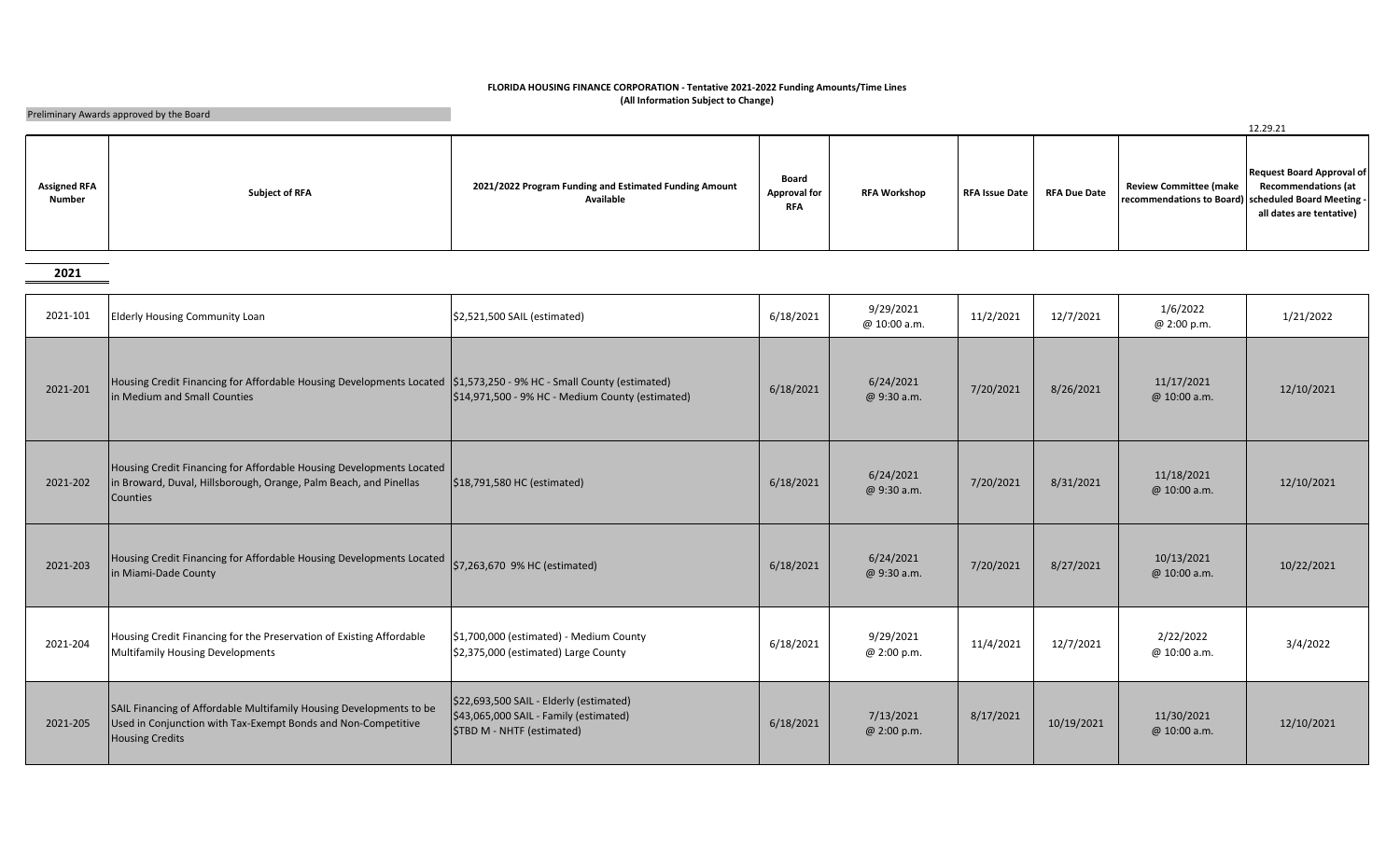## **FLORIDA HOUSING FINANCE CORPORATION - Tentative 2021-2022 Funding Amounts/Time Lines (All Information Subject to Change)**

Preliminary Awards approved by the Board

|                                      |                       |                                                                     |                                            |                     |                       |                     |                                                                                      | 12.29.21                                                                                   |
|--------------------------------------|-----------------------|---------------------------------------------------------------------|--------------------------------------------|---------------------|-----------------------|---------------------|--------------------------------------------------------------------------------------|--------------------------------------------------------------------------------------------|
| <b>Assigned RFA</b><br><b>Number</b> | <b>Subject of RFA</b> | 2021/2022 Program Funding and Estimated Funding Amount<br>Available | Board<br><b>Approval for</b><br><b>RFA</b> | <b>RFA Workshop</b> | <b>RFA Issue Date</b> | <b>RFA Due Date</b> | <b>Review Committee (make</b><br>recommendations to Board) scheduled Board Meeting - | <b>Request Board Approval of</b><br><b>Recommendations (at</b><br>all dates are tentative) |

**2021**

| 2021-101 | <b>Elderly Housing Community Loan</b>                                                                                                                          | \$2,521,500 SAIL (estimated)                                                                                          | 6/18/2021 | 9/29/2021<br>@ 10:00 a.m. | 11/2/2021 | 12/7/2021  | 1/6/2022<br>@ 2:00 p.m.    | 1/21/2022  |
|----------|----------------------------------------------------------------------------------------------------------------------------------------------------------------|-----------------------------------------------------------------------------------------------------------------------|-----------|---------------------------|-----------|------------|----------------------------|------------|
| 2021-201 | Housing Credit Financing for Affordable Housing Developments Located \$1,573,250 - 9% HC - Small County (estimated)<br>in Medium and Small Counties            | $\left  \frac{2}{3}14.971.500 - 9\% \text{ HC} - \text{Medium County (estimated)} \right $                            | 6/18/2021 | 6/24/2021<br>@ 9:30 a.m.  | 7/20/2021 | 8/26/2021  | 11/17/2021<br>@ 10:00 a.m. | 12/10/2021 |
| 2021-202 | Housing Credit Financing for Affordable Housing Developments Located<br>in Broward, Duval, Hillsborough, Orange, Palm Beach, and Pinellas<br><b>Counties</b>   | \$18,791,580 HC (estimated)                                                                                           | 6/18/2021 | 6/24/2021<br>@ 9:30 a.m.  | 7/20/2021 | 8/31/2021  | 11/18/2021<br>@ 10:00 a.m. | 12/10/2021 |
| 2021-203 | Housing Credit Financing for Affordable Housing Developments Located<br>in Miami-Dade County                                                                   | \$7,263,670 9% HC (estimated)                                                                                         | 6/18/2021 | 6/24/2021<br>@ 9:30 a.m.  | 7/20/2021 | 8/27/2021  | 10/13/2021<br>@ 10:00 a.m. | 10/22/2021 |
| 2021-204 | Housing Credit Financing for the Preservation of Existing Affordable<br><b>Multifamily Housing Developments</b>                                                | \$1,700,000 (estimated) - Medium County<br>\$2,375,000 (estimated) Large County                                       | 6/18/2021 | 9/29/2021<br>@ 2:00 p.m.  | 11/4/2021 | 12/7/2021  | 2/22/2022<br>@ 10:00 a.m.  | 3/4/2022   |
| 2021-205 | SAIL Financing of Affordable Multifamily Housing Developments to be<br>Used in Conjunction with Tax-Exempt Bonds and Non-Competitive<br><b>Housing Credits</b> | \$22,693,500 SAIL - Elderly (estimated)<br>\$43,065,000 SAIL - Family (estimated)<br><b>STBD M - NHTF (estimated)</b> | 6/18/2021 | 7/13/2021<br>@ 2:00 p.m.  | 8/17/2021 | 10/19/2021 | 11/30/2021<br>@ 10:00 a.m. | 12/10/2021 |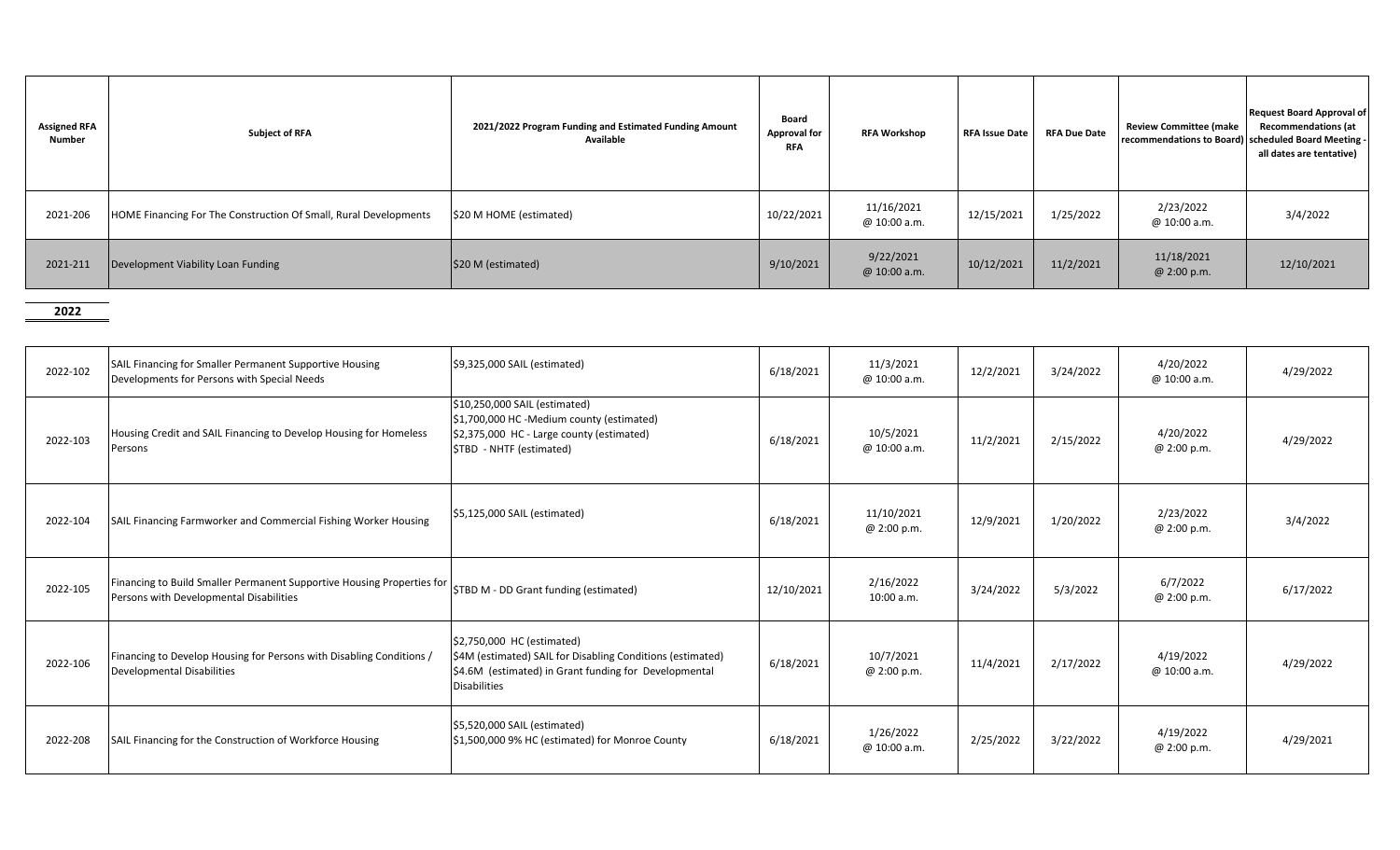| <b>Assigned RFA</b><br>Number | <b>Subject of RFA</b>                                            | 2021/2022 Program Funding and Estimated Funding Amount<br>Available | <b>Board</b><br><b>Approval for</b><br><b>RFA</b> | <b>RFA Workshop</b>        | <b>RFA Issue Date</b> | <b>RFA Due Date</b> | <b>Review Committee (make</b><br>recommendations to Board) scheduled Board Meeting - | <b>Request Board Approval of</b><br><b>Recommendations (at</b><br>all dates are tentative) |
|-------------------------------|------------------------------------------------------------------|---------------------------------------------------------------------|---------------------------------------------------|----------------------------|-----------------------|---------------------|--------------------------------------------------------------------------------------|--------------------------------------------------------------------------------------------|
| 2021-206                      | HOME Financing For The Construction Of Small, Rural Developments | \$20 M HOME (estimated)                                             | 10/22/2021                                        | 11/16/2021<br>@ 10:00 a.m. | 12/15/2021            | 1/25/2022           | 2/23/2022<br>@ 10:00 a.m.                                                            | 3/4/2022                                                                                   |
| 2021-211                      | Development Viability Loan Funding                               | \$20 M (estimated)                                                  | 9/10/2021                                         | 9/22/2021<br>@ 10:00 a.m.  | 10/12/2021            | 11/2/2021           | 11/18/2021<br>@ 2:00 p.m.                                                            | 12/10/2021                                                                                 |

**2022**

| 2022-102 | SAIL Financing for Smaller Permanent Supportive Housing<br>Developments for Persons with Special Needs            | \$9,325,000 SAIL (estimated)                                                                                                                                             | 6/18/2021  | 11/3/2021<br>@ 10:00 a.m. | 12/2/2021 | 3/24/2022 | 4/20/2022<br>@ 10:00 a.m. | 4/29/2022 |
|----------|-------------------------------------------------------------------------------------------------------------------|--------------------------------------------------------------------------------------------------------------------------------------------------------------------------|------------|---------------------------|-----------|-----------|---------------------------|-----------|
| 2022-103 | Housing Credit and SAIL Financing to Develop Housing for Homeless<br>Persons                                      | \$10,250,000 SAIL (estimated)<br>\$1,700,000 HC -Medium county (estimated)<br>\$2,375,000 HC - Large county (estimated)<br>STBD - NHTF (estimated)                       | 6/18/2021  | 10/5/2021<br>@ 10:00 a.m. | 11/2/2021 | 2/15/2022 | 4/20/2022<br>@ 2:00 p.m.  | 4/29/2022 |
| 2022-104 | SAIL Financing Farmworker and Commercial Fishing Worker Housing                                                   | \$5,125,000 SAIL (estimated)                                                                                                                                             | 6/18/2021  | 11/10/2021<br>@ 2:00 p.m. | 12/9/2021 | 1/20/2022 | 2/23/2022<br>@ 2:00 p.m.  | 3/4/2022  |
| 2022-105 | Financing to Build Smaller Permanent Supportive Housing Properties for<br>Persons with Developmental Disabilities | STBD M - DD Grant funding (estimated)                                                                                                                                    | 12/10/2021 | 2/16/2022<br>10:00 a.m.   | 3/24/2022 | 5/3/2022  | 6/7/2022<br>@ 2:00 p.m.   | 6/17/2022 |
| 2022-106 | Financing to Develop Housing for Persons with Disabling Conditions /<br>Developmental Disabilities                | \$2,750,000 HC (estimated)<br>\$4M (estimated) SAIL for Disabling Conditions (estimated)<br>\$4.6M (estimated) in Grant funding for Developmental<br><b>Disabilities</b> | 6/18/2021  | 10/7/2021<br>@ 2:00 p.m.  | 11/4/2021 | 2/17/2022 | 4/19/2022<br>@ 10:00 a.m. | 4/29/2022 |
| 2022-208 | SAIL Financing for the Construction of Workforce Housing                                                          | \$5,520,000 SAIL (estimated)<br>\$1,500,000 9% HC (estimated) for Monroe County                                                                                          | 6/18/2021  | 1/26/2022<br>@ 10:00 a.m. | 2/25/2022 | 3/22/2022 | 4/19/2022<br>@ 2:00 p.m.  | 4/29/2021 |